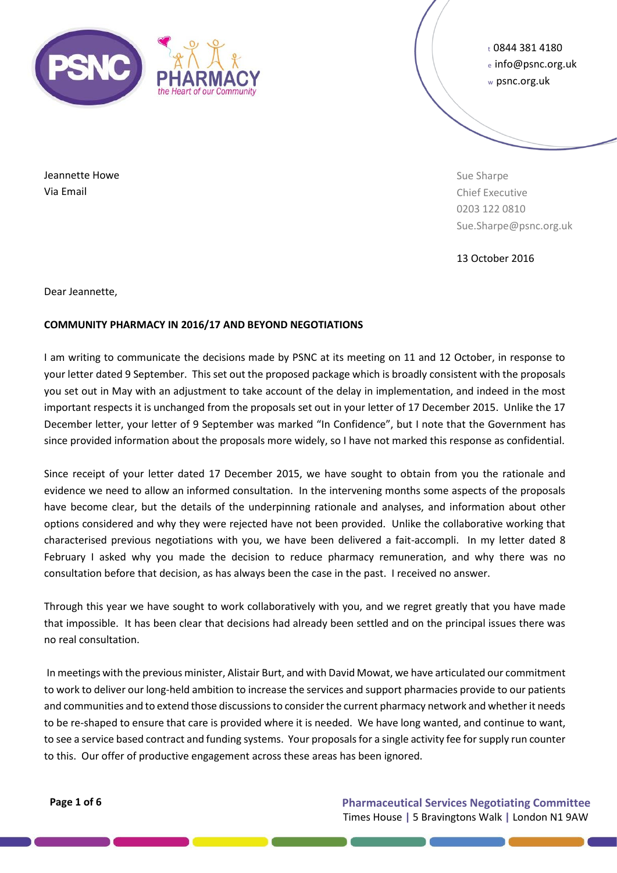

<sup>t</sup>0844 381 4180 <sup>e</sup>info@psnc.org.uk <sup>w</sup>psnc.org.uk

Jeannette Howe Via Email

Sue Sharpe Chief Executive 0203 122 0810 Sue.Sharpe@psnc.org.uk

13 October 2016

Dear Jeannette,

## **COMMUNITY PHARMACY IN 2016/17 AND BEYOND NEGOTIATIONS**

I am writing to communicate the decisions made by PSNC at its meeting on 11 and 12 October, in response to your letter dated 9 September. This set out the proposed package which is broadly consistent with the proposals you set out in May with an adjustment to take account of the delay in implementation, and indeed in the most important respects it is unchanged from the proposals set out in your letter of 17 December 2015. Unlike the 17 December letter, your letter of 9 September was marked "In Confidence", but I note that the Government has since provided information about the proposals more widely, so I have not marked this response as confidential.

Since receipt of your letter dated 17 December 2015, we have sought to obtain from you the rationale and evidence we need to allow an informed consultation. In the intervening months some aspects of the proposals have become clear, but the details of the underpinning rationale and analyses, and information about other options considered and why they were rejected have not been provided. Unlike the collaborative working that characterised previous negotiations with you, we have been delivered a fait-accompli. In my letter dated 8 February I asked why you made the decision to reduce pharmacy remuneration, and why there was no consultation before that decision, as has always been the case in the past. I received no answer.

Through this year we have sought to work collaboratively with you, and we regret greatly that you have made that impossible. It has been clear that decisions had already been settled and on the principal issues there was no real consultation.

In meetings with the previous minister, Alistair Burt, and with David Mowat, we have articulated our commitment to work to deliver our long-held ambition to increase the services and support pharmacies provide to our patients and communities and to extend those discussions to consider the current pharmacy network and whether it needs to be re-shaped to ensure that care is provided where it is needed. We have long wanted, and continue to want, to see a service based contract and funding systems. Your proposals for a single activity fee for supply run counter to this. Our offer of productive engagement across these areas has been ignored.

**Page 1 of 6 Pharmaceutical Services Negotiating Committee** Times House **|** 5 Bravingtons Walk **|** London N1 9AW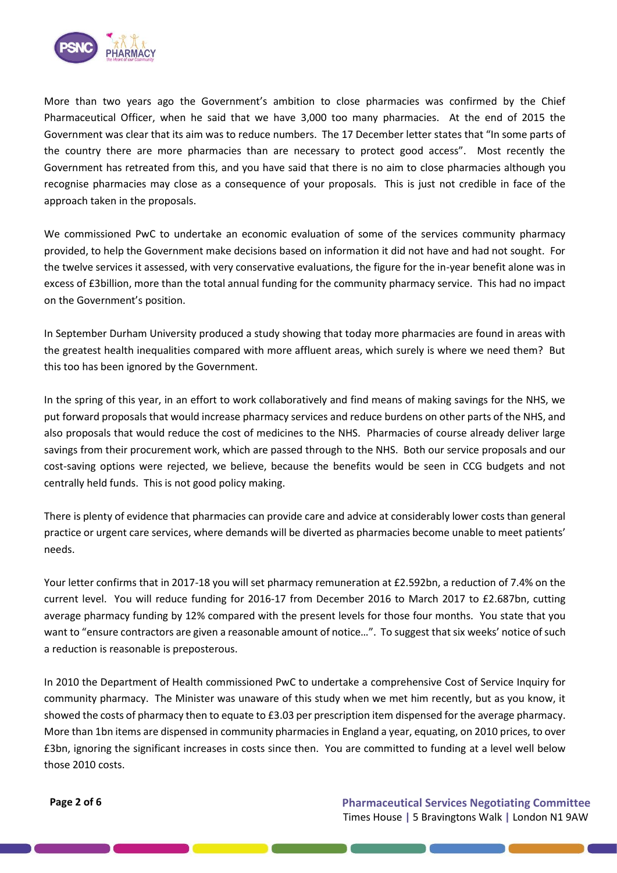

More than two years ago the Government's ambition to close pharmacies was confirmed by the Chief Pharmaceutical Officer, when he said that we have 3,000 too many pharmacies. At the end of 2015 the Government was clear that its aim was to reduce numbers. The 17 December letter states that "In some parts of the country there are more pharmacies than are necessary to protect good access". Most recently the Government has retreated from this, and you have said that there is no aim to close pharmacies although you recognise pharmacies may close as a consequence of your proposals. This is just not credible in face of the approach taken in the proposals.

We commissioned PwC to undertake an economic evaluation of some of the services community pharmacy provided, to help the Government make decisions based on information it did not have and had not sought. For the twelve services it assessed, with very conservative evaluations, the figure for the in-year benefit alone was in excess of £3billion, more than the total annual funding for the community pharmacy service. This had no impact on the Government's position.

In September Durham University produced a study showing that today more pharmacies are found in areas with the greatest health inequalities compared with more affluent areas, which surely is where we need them? But this too has been ignored by the Government.

In the spring of this year, in an effort to work collaboratively and find means of making savings for the NHS, we put forward proposals that would increase pharmacy services and reduce burdens on other parts of the NHS, and also proposals that would reduce the cost of medicines to the NHS. Pharmacies of course already deliver large savings from their procurement work, which are passed through to the NHS. Both our service proposals and our cost-saving options were rejected, we believe, because the benefits would be seen in CCG budgets and not centrally held funds. This is not good policy making.

There is plenty of evidence that pharmacies can provide care and advice at considerably lower costs than general practice or urgent care services, where demands will be diverted as pharmacies become unable to meet patients' needs.

Your letter confirms that in 2017-18 you will set pharmacy remuneration at £2.592bn, a reduction of 7.4% on the current level. You will reduce funding for 2016-17 from December 2016 to March 2017 to £2.687bn, cutting average pharmacy funding by 12% compared with the present levels for those four months. You state that you want to "ensure contractors are given a reasonable amount of notice...". To suggest that six weeks' notice of such a reduction is reasonable is preposterous.

In 2010 the Department of Health commissioned PwC to undertake a comprehensive Cost of Service Inquiry for community pharmacy. The Minister was unaware of this study when we met him recently, but as you know, it showed the costs of pharmacy then to equate to £3.03 per prescription item dispensed for the average pharmacy. More than 1bn items are dispensed in community pharmacies in England a year, equating, on 2010 prices, to over £3bn, ignoring the significant increases in costs since then. You are committed to funding at a level well below those 2010 costs.

**Page 2 of 6 Pharmaceutical Services Negotiating Committee** Times House **|** 5 Bravingtons Walk **|** London N1 9AW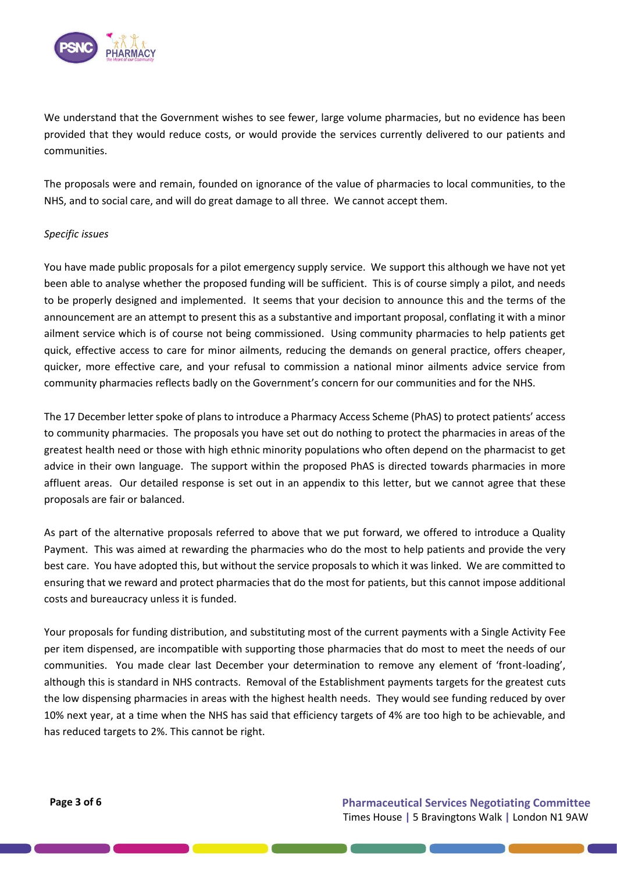

We understand that the Government wishes to see fewer, large volume pharmacies, but no evidence has been provided that they would reduce costs, or would provide the services currently delivered to our patients and communities.

The proposals were and remain, founded on ignorance of the value of pharmacies to local communities, to the NHS, and to social care, and will do great damage to all three. We cannot accept them.

## *Specific issues*

You have made public proposals for a pilot emergency supply service. We support this although we have not yet been able to analyse whether the proposed funding will be sufficient. This is of course simply a pilot, and needs to be properly designed and implemented. It seems that your decision to announce this and the terms of the announcement are an attempt to present this as a substantive and important proposal, conflating it with a minor ailment service which is of course not being commissioned. Using community pharmacies to help patients get quick, effective access to care for minor ailments, reducing the demands on general practice, offers cheaper, quicker, more effective care, and your refusal to commission a national minor ailments advice service from community pharmacies reflects badly on the Government's concern for our communities and for the NHS.

The 17 December letter spoke of plans to introduce a Pharmacy Access Scheme (PhAS) to protect patients' access to community pharmacies. The proposals you have set out do nothing to protect the pharmacies in areas of the greatest health need or those with high ethnic minority populations who often depend on the pharmacist to get advice in their own language. The support within the proposed PhAS is directed towards pharmacies in more affluent areas. Our detailed response is set out in an appendix to this letter, but we cannot agree that these proposals are fair or balanced.

As part of the alternative proposals referred to above that we put forward, we offered to introduce a Quality Payment. This was aimed at rewarding the pharmacies who do the most to help patients and provide the very best care. You have adopted this, but without the service proposals to which it was linked. We are committed to ensuring that we reward and protect pharmacies that do the most for patients, but this cannot impose additional costs and bureaucracy unless it is funded.

Your proposals for funding distribution, and substituting most of the current payments with a Single Activity Fee per item dispensed, are incompatible with supporting those pharmacies that do most to meet the needs of our communities. You made clear last December your determination to remove any element of 'front-loading', although this is standard in NHS contracts. Removal of the Establishment payments targets for the greatest cuts the low dispensing pharmacies in areas with the highest health needs. They would see funding reduced by over 10% next year, at a time when the NHS has said that efficiency targets of 4% are too high to be achievable, and has reduced targets to 2%. This cannot be right.

**Page 3 of 6 Pharmaceutical Services Negotiating Committee** Times House **|** 5 Bravingtons Walk **|** London N1 9AW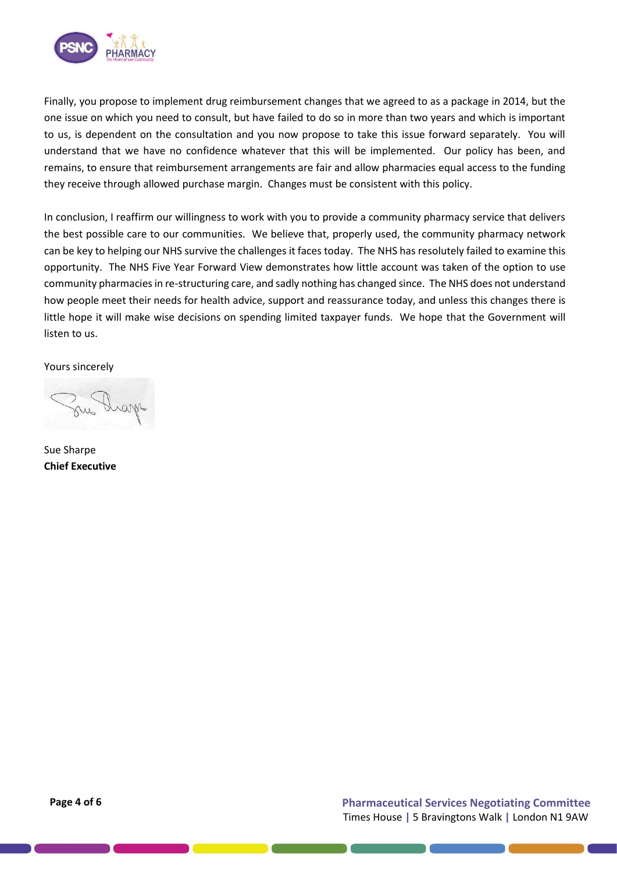

Finally, you propose to implement drug reimbursement changes that we agreed to as a package in 2014, but the one issue on which you need to consult, but have failed to do so in more than two years and which is important to us, is dependent on the consultation and you now propose to take this issue forward separately. You will understand that we have no confidence whatever that this will be implemented. Our policy has been, and remains, to ensure that reimbursement arrangements are fair and allow pharmacies equal access to the funding they receive through allowed purchase margin. Changes must be consistent with this policy.

In conclusion, I reaffirm our willingness to work with you to provide a community pharmacy service that delivers the best possible care to our communities. We believe that, properly used, the community pharmacy network can be key to helping our NHS survive the challenges it faces today. The NHS has resolutely failed to examine this opportunity. The NHS Five Year Forward View demonstrates how little account was taken of the option to use community pharmacies in re-structuring care, and sadly nothing has changed since. The NHS does not understand how people meet their needs for health advice, support and reassurance today, and unless this changes there is little hope it will make wise decisions on spending limited taxpayer funds. We hope that the Government will listen to us.

Yours sincerely

Sue Sharpe **Chief Executive**

**Page 4 of 6 Pharmaceutical Services Negotiating Committee** Times House **|** 5 Bravingtons Walk **|** London N1 9AW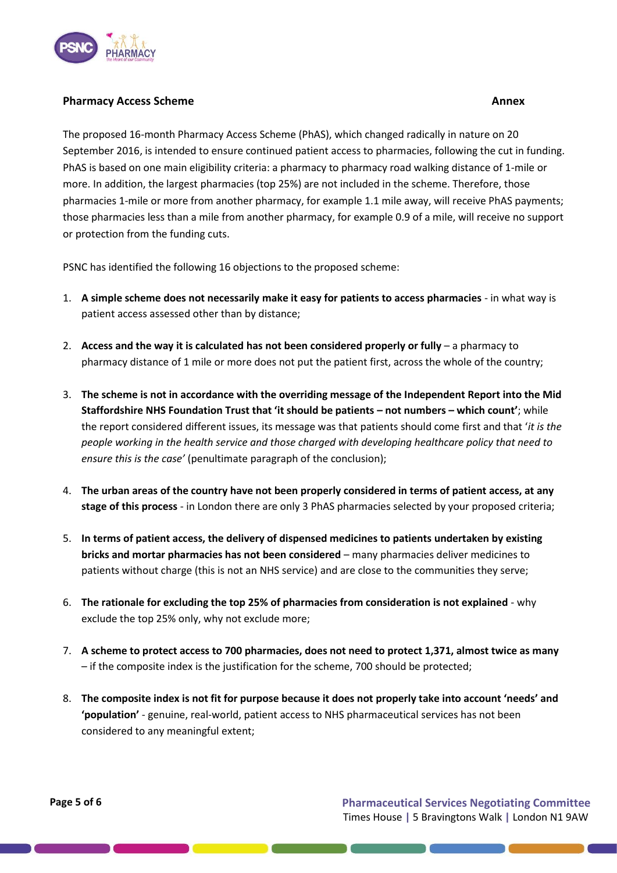

## **Pharmacy Access Scheme Annex** *Annex**Annex**Annex**Annex**Annex**Annex**Annex*

The proposed 16-month Pharmacy Access Scheme (PhAS), which changed radically in nature on 20 September 2016, is intended to ensure continued patient access to pharmacies, following the cut in funding. PhAS is based on one main eligibility criteria: a pharmacy to pharmacy road walking distance of 1-mile or more. In addition, the largest pharmacies (top 25%) are not included in the scheme. Therefore, those pharmacies 1-mile or more from another pharmacy, for example 1.1 mile away, will receive PhAS payments; those pharmacies less than a mile from another pharmacy, for example 0.9 of a mile, will receive no support or protection from the funding cuts.

PSNC has identified the following 16 objections to the proposed scheme:

- 1. **A simple scheme does not necessarily make it easy for patients to access pharmacies** in what way is patient access assessed other than by distance;
- 2. Access and the way it is calculated has not been considered properly or fully a pharmacy to pharmacy distance of 1 mile or more does not put the patient first, across the whole of the country;
- 3. **The scheme is not in accordance with the overriding message of the Independent Report into the Mid Staffordshire NHS Foundation Trust that 'it should be patients – not numbers – which count'**; while the report considered different issues, its message was that patients should come first and that '*it is the people working in the health service and those charged with developing healthcare policy that need to ensure this is the case'* (penultimate paragraph of the conclusion);
- 4. **The urban areas of the country have not been properly considered in terms of patient access, at any stage of this process** - in London there are only 3 PhAS pharmacies selected by your proposed criteria;
- 5. **In terms of patient access, the delivery of dispensed medicines to patients undertaken by existing bricks and mortar pharmacies has not been considered** – many pharmacies deliver medicines to patients without charge (this is not an NHS service) and are close to the communities they serve;
- 6. **The rationale for excluding the top 25% of pharmacies from consideration is not explained** why exclude the top 25% only, why not exclude more;
- 7. **A scheme to protect access to 700 pharmacies, does not need to protect 1,371, almost twice as many** – if the composite index is the justification for the scheme, 700 should be protected;
- 8. **The composite index is not fit for purpose because it does not properly take into account 'needs' and 'population'** - genuine, real-world, patient access to NHS pharmaceutical services has not been considered to any meaningful extent;